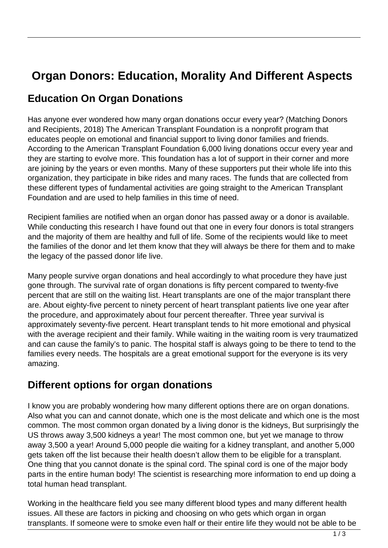# **Organ Donors: Education, Morality And Different Aspects**

#### **Education On Organ Donations**

Has anyone ever wondered how many organ donations occur every year? (Matching Donors and Recipients, 2018) The American Transplant Foundation is a nonprofit program that educates people on emotional and financial support to living donor families and friends. According to the American Transplant Foundation 6,000 living donations occur every year and they are starting to evolve more. This foundation has a lot of support in their corner and more are joining by the years or even months. Many of these supporters put their whole life into this organization, they participate in bike rides and many races. The funds that are collected from these different types of fundamental activities are going straight to the American Transplant Foundation and are used to help families in this time of need.

Recipient families are notified when an organ donor has passed away or a donor is available. While conducting this research I have found out that one in every four donors is total strangers and the majority of them are healthy and full of life. Some of the recipients would like to meet the families of the donor and let them know that they will always be there for them and to make the legacy of the passed donor life live.

Many people survive organ donations and heal accordingly to what procedure they have just gone through. The survival rate of organ donations is fifty percent compared to twenty-five percent that are still on the waiting list. Heart transplants are one of the major transplant there are. About eighty-five percent to ninety percent of heart transplant patients live one year after the procedure, and approximately about four percent thereafter. Three year survival is approximately seventy-five percent. Heart transplant tends to hit more emotional and physical with the average recipient and their family. While waiting in the waiting room is very traumatized and can cause the family's to panic. The hospital staff is always going to be there to tend to the families every needs. The hospitals are a great emotional support for the everyone is its very amazing.

#### **Different options for organ donations**

I know you are probably wondering how many different options there are on organ donations. Also what you can and cannot donate, which one is the most delicate and which one is the most common. The most common organ donated by a living donor is the kidneys, But surprisingly the US throws away 3,500 kidneys a year! The most common one, but yet we manage to throw away 3,500 a year! Around 5,000 people die waiting for a kidney transplant, and another 5,000 gets taken off the list because their health doesn't allow them to be eligible for a transplant. One thing that you cannot donate is the spinal cord. The spinal cord is one of the major body parts in the entire human body! The scientist is researching more information to end up doing a total human head transplant.

Working in the healthcare field you see many different blood types and many different health issues. All these are factors in picking and choosing on who gets which organ in organ transplants. If someone were to smoke even half or their entire life they would not be able to be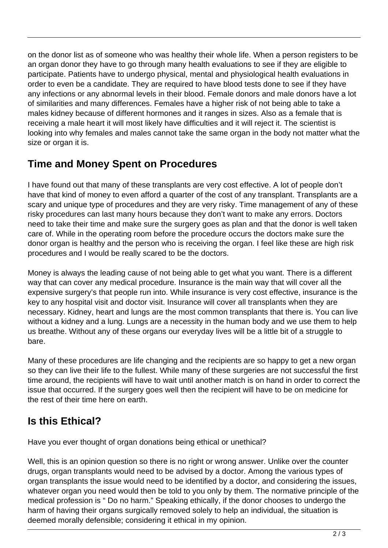on the donor list as of someone who was healthy their whole life. When a person registers to be an organ donor they have to go through many health evaluations to see if they are eligible to participate. Patients have to undergo physical, mental and physiological health evaluations in order to even be a candidate. They are required to have blood tests done to see if they have any infections or any abnormal levels in their blood. Female donors and male donors have a lot of similarities and many differences. Females have a higher risk of not being able to take a males kidney because of different hormones and it ranges in sizes. Also as a female that is receiving a male heart it will most likely have difficulties and it will reject it. The scientist is looking into why females and males cannot take the same organ in the body not matter what the size or organ it is.

## **Time and Money Spent on Procedures**

I have found out that many of these transplants are very cost effective. A lot of people don't have that kind of money to even afford a quarter of the cost of any transplant. Transplants are a scary and unique type of procedures and they are very risky. Time management of any of these risky procedures can last many hours because they don't want to make any errors. Doctors need to take their time and make sure the surgery goes as plan and that the donor is well taken care of. While in the operating room before the procedure occurs the doctors make sure the donor organ is healthy and the person who is receiving the organ. I feel like these are high risk procedures and I would be really scared to be the doctors.

Money is always the leading cause of not being able to get what you want. There is a different way that can cover any medical procedure. Insurance is the main way that will cover all the expensive surgery's that people run into. While insurance is very cost effective, insurance is the key to any hospital visit and doctor visit. Insurance will cover all transplants when they are necessary. Kidney, heart and lungs are the most common transplants that there is. You can live without a kidney and a lung. Lungs are a necessity in the human body and we use them to help us breathe. Without any of these organs our everyday lives will be a little bit of a struggle to bare.

Many of these procedures are life changing and the recipients are so happy to get a new organ so they can live their life to the fullest. While many of these surgeries are not successful the first time around, the recipients will have to wait until another match is on hand in order to correct the issue that occurred. If the surgery goes well then the recipient will have to be on medicine for the rest of their time here on earth.

### **Is this Ethical?**

Have you ever thought of organ donations being ethical or unethical?

Well, this is an opinion question so there is no right or wrong answer. Unlike over the counter drugs, organ transplants would need to be advised by a doctor. Among the various types of organ transplants the issue would need to be identified by a doctor, and considering the issues, whatever organ you need would then be told to you only by them. The normative principle of the medical profession is " Do no harm." Speaking ethically, if the donor chooses to undergo the harm of having their organs surgically removed solely to help an individual, the situation is deemed morally defensible; considering it ethical in my opinion.